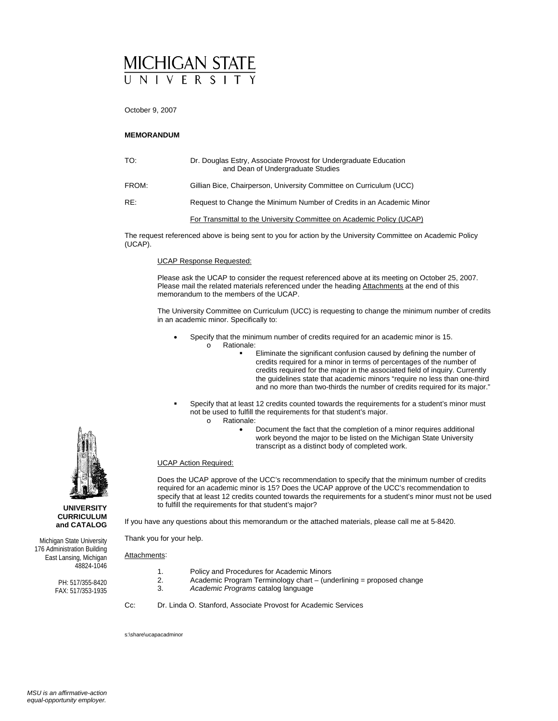# MICHIGAN STATE

October 9, 2007

#### **MEMORANDUM**

| TO:   | Dr. Douglas Estry, Associate Provost for Undergraduate Education<br>and Dean of Undergraduate Studies |
|-------|-------------------------------------------------------------------------------------------------------|
| FROM: | Gillian Bice, Chairperson, University Committee on Curriculum (UCC)                                   |
| RE:   | Request to Change the Minimum Number of Credits in an Academic Minor                                  |
|       | For Transmittal to the University Committee on Academic Policy (UCAP)                                 |

The request referenced above is being sent to you for action by the University Committee on Academic Policy (UCAP).

#### UCAP Response Requested:

Please ask the UCAP to consider the request referenced above at its meeting on October 25, 2007. Please mail the related materials referenced under the heading Attachments at the end of this memorandum to the members of the UCAP.

The University Committee on Curriculum (UCC) is requesting to change the minimum number of credits in an academic minor. Specifically to:

- Specify that the minimum number of credits required for an academic minor is 15. o Rationale:
	- Eliminate the significant confusion caused by defining the number of credits required for a minor in terms of percentages of the number of credits required for the major in the associated field of inquiry. Currently the guidelines state that academic minors "require no less than one-third and no more than two-thirds the number of credits required for its major."
- Specify that at least 12 credits counted towards the requirements for a student's minor must not be used to fulfill the requirements for that student's major.
	- o Rationale:
		- Document the fact that the completion of a minor requires additional work beyond the major to be listed on the Michigan State University transcript as a distinct body of completed work.

#### UCAP Action Required:

Does the UCAP approve of the UCC's recommendation to specify that the minimum number of credits required for an academic minor is 15? Does the UCAP approve of the UCC's recommendation to specify that at least 12 credits counted towards the requirements for a student's minor must not be used to fulfill the requirements for that student's major?

If you have any questions about this memorandum or the attached materials, please call me at 5-8420.

Thank you for your help.

Attachments:

PH: 517/355-8420 FAX: 517/353-1935

- 1. Policy and Procedures for Academic Minors<br>2. Academic Program Terminology chart (ung
	- 2. Academic Program Terminology chart (underlining = proposed change
	- 3. *Academic Programs* catalog language
- Cc: Dr. Linda O. Stanford, Associate Provost for Academic Services

s:\share\ucapacadminor



**UNIVERSITY CURRICULUM and CATALOG**  Michigan State University 176 Administration Building East Lansing, Michigan 48824-1046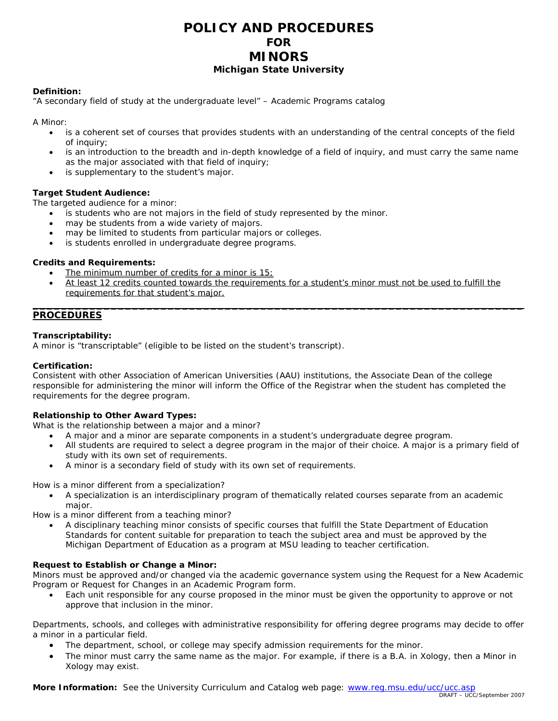# **POLICY AND PROCEDURES FOR MINORS Michigan State University**

#### **Definition:**

"A secondary field of study at the undergraduate level" – *Academic Programs* catalog

A Minor:

- is a coherent set of courses that provides students with an understanding of the central concepts of the field of inquiry;
- is an introduction to the breadth and in-depth knowledge of a field of inquiry, and must carry the same name as the major associated with that field of inquiry;
- is supplementary to the student's major.

## **Target Student Audience:**

The targeted audience for a minor:

- is students who are not majors in the field of study represented by the minor.
- may be students from a wide variety of majors.
- may be limited to students from particular majors or colleges.
- is students enrolled in undergraduate degree programs.

#### **Credits and Requirements:**

- The minimum number of credits for a minor is  $15$ ;
- At least 12 credits counted towards the requirements for a student's minor must not be used to fulfill the requirements for that student's major. **\_\_\_\_\_\_\_\_\_\_\_\_\_\_\_\_\_\_\_\_\_\_\_\_\_\_\_\_\_\_\_\_\_\_\_\_\_\_\_\_\_\_\_\_\_\_\_\_\_\_\_\_\_\_\_\_\_\_\_\_\_\_\_\_\_\_\_\_\_**

## **PROCEDURES**

#### **Transcriptability:**

A minor is "transcriptable" (eligible to be listed on the student's transcript).

#### **Certification:**

Consistent with other Association of American Universities (AAU) institutions, the Associate Dean of the college responsible for administering the minor will inform the Office of the Registrar when the student has completed the requirements for the degree program.

## **Relationship to Other Award Types:**

What is the relationship between a major and a minor?

- A major and a minor are separate components in a student's undergraduate degree program.
- All students are required to select a degree program in the major of their choice. A major is a primary field of study with its own set of requirements.
- A minor is a secondary field of study with its own set of requirements.

How is a minor different from a specialization?

• A *specialization* is an interdisciplinary program of thematically related courses separate from an academic major.

How is a minor different from a teaching minor?

• A disciplinary *teaching minor* consists of specific courses that fulfill the State Department of Education Standards for content suitable for preparation to teach the subject area and must be approved by the Michigan Department of Education as a program at MSU leading to teacher certification.

## **Request to Establish or Change a Minor:**

Minors must be approved and/or changed via the academic governance system using the *Request for a New Academic Program* or *Request for Changes in an Academic Program* form.

• Each unit responsible for any course proposed in the minor must be given the opportunity to approve or not approve that inclusion in the minor.

Departments, schools, and colleges with administrative responsibility for offering degree programs may decide to offer a minor in a particular field.

- The department, school, or college may specify admission requirements for the minor.
- The minor must carry the same name as the major. For example, if there is a B.A. in Xology, then a Minor in Xology may exist.

**More Information:** See the University Curriculum and Catalog web page: www.reg.msu.edu/ucc/ucc.asp